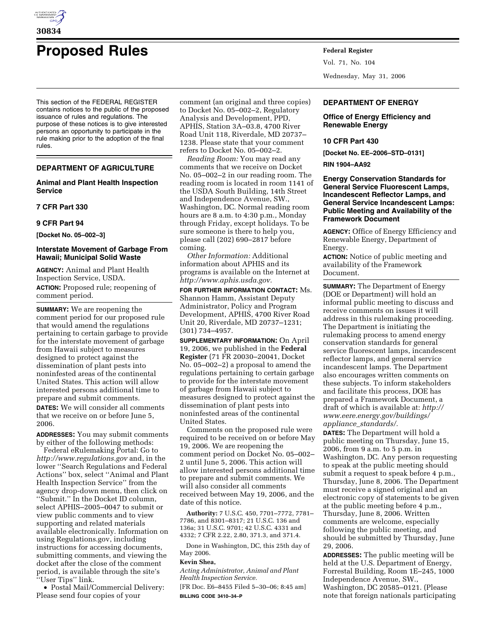

# **Proposed Rules Federal Register**

This section of the FEDERAL REGISTER contains notices to the public of the proposed issuance of rules and regulations. The purpose of these notices is to give interested persons an opportunity to participate in the rule making prior to the adoption of the final rules.

## **DEPARTMENT OF AGRICULTURE**

## **Animal and Plant Health Inspection Service**

#### **7 CFR Part 330**

# **9 CFR Part 94**

**[Docket No. 05–002–3]** 

## **Interstate Movement of Garbage From Hawaii; Municipal Solid Waste**

**AGENCY:** Animal and Plant Health Inspection Service, USDA. **ACTION:** Proposed rule; reopening of comment period.

**SUMMARY:** We are reopening the comment period for our proposed rule that would amend the regulations pertaining to certain garbage to provide for the interstate movement of garbage from Hawaii subject to measures designed to protect against the dissemination of plant pests into noninfested areas of the continental United States. This action will allow interested persons additional time to prepare and submit comments. **DATES:** We will consider all comments

that we receive on or before June 5, 2006.

**ADDRESSES:** You may submit comments by either of the following methods:

Federal eRulemaking Portal: Go to *http://www.regulations.gov* and, in the lower ''Search Regulations and Federal Actions'' box, select ''Animal and Plant Health Inspection Service'' from the agency drop-down menu, then click on ''Submit.'' In the Docket ID column, select APHIS–2005–0047 to submit or view public comments and to view supporting and related materials available electronically. Information on using Regulations.gov, including instructions for accessing documents, submitting comments, and viewing the docket after the close of the comment period, is available through the site's ''User Tips'' link.

• Postal Mail/Commercial Delivery: Please send four copies of your

comment (an original and three copies) to Docket No. 05–002–2, Regulatory Analysis and Development, PPD, APHIS, Station 3A–03.8, 4700 River Road Unit 118, Riverdale, MD 20737– 1238. Please state that your comment refers to Docket No. 05–002–2.

*Reading Room:* You may read any comments that we receive on Docket No. 05–002–2 in our reading room. The reading room is located in room 1141 of the USDA South Building, 14th Street and Independence Avenue, SW., Washington, DC. Normal reading room hours are 8 a.m. to 4:30 p.m., Monday through Friday, except holidays. To be sure someone is there to help you, please call (202) 690–2817 before coming.

*Other Information:* Additional information about APHIS and its programs is available on the Internet at *http://www.aphis.usda.gov.* 

**FOR FURTHER INFORMATION CONTACT:** Ms. Shannon Hamm, Assistant Deputy Administrator, Policy and Program Development, APHIS, 4700 River Road Unit 20, Riverdale, MD 20737–1231; (301) 734–4957.

**SUPPLEMENTARY INFORMATION:** On April 19, 2006, we published in the **Federal Register** (71 FR 20030–20041, Docket No. 05–002–2) a proposal to amend the regulations pertaining to certain garbage to provide for the interstate movement of garbage from Hawaii subject to measures designed to protect against the dissemination of plant pests into noninfested areas of the continental United States.

Comments on the proposed rule were required to be received on or before May 19, 2006. We are reopening the comment period on Docket No. 05–002– 2 until June 5, 2006. This action will allow interested persons additional time to prepare and submit comments. We will also consider all comments received between May 19, 2006, and the date of this notice.

**Authority:** 7 U.S.C. 450, 7701–7772, 7781– 7786, and 8301–8317; 21 U.S.C. 136 and 136a; 31 U.S.C. 9701; 42 U.S.C. 4331 and 4332; 7 CFR 2.22, 2.80, 371.3, and 371.4.

Done in Washington, DC, this 25th day of May 2006.

#### **Kevin Shea,**

*Acting Administrator, Animal and Plant Health Inspection Service.* 

[FR Doc. E6–8455 Filed 5–30–06; 8:45 am] **BILLING CODE 3410–34–P** 

Vol. 71, No. 104 Wednesday, May 31, 2006

# **DEPARTMENT OF ENERGY**

### **Office of Energy Efficiency and Renewable Energy**

## **10 CFR Part 430**

**[Docket No. EE–2006–STD–0131]** 

**RIN 1904–AA92** 

**Energy Conservation Standards for General Service Fluorescent Lamps, Incandescent Reflector Lamps, and General Service Incandescent Lamps: Public Meeting and Availability of the Framework Document** 

**AGENCY:** Office of Energy Efficiency and Renewable Energy, Department of Energy.

**ACTION:** Notice of public meeting and availability of the Framework Document.

**SUMMARY:** The Department of Energy (DOE or Department) will hold an informal public meeting to discuss and receive comments on issues it will address in this rulemaking proceeding. The Department is initiating the rulemaking process to amend energy conservation standards for general service fluorescent lamps, incandescent reflector lamps, and general service incandescent lamps. The Department also encourages written comments on these subjects. To inform stakeholders and facilitate this process, DOE has prepared a Framework Document, a draft of which is available at: *http:// www.eere.energy.gov/buildings/ appliance*\_*standards/.* 

**DATES:** The Department will hold a public meeting on Thursday, June 15, 2006, from 9 a.m. to 5 p.m. in Washington, DC. Any person requesting to speak at the public meeting should submit a request to speak before 4 p.m., Thursday, June 8, 2006. The Department must receive a signed original and an electronic copy of statements to be given at the public meeting before 4 p.m., Thursday, June 8, 2006. Written comments are welcome, especially following the public meeting, and should be submitted by Thursday, June 29, 2006.

**ADDRESSES:** The public meeting will be held at the U.S. Department of Energy, Forrestal Building, Room 1E–245, 1000 Independence Avenue, SW., Washington, DC 20585–0121. (Please note that foreign nationals participating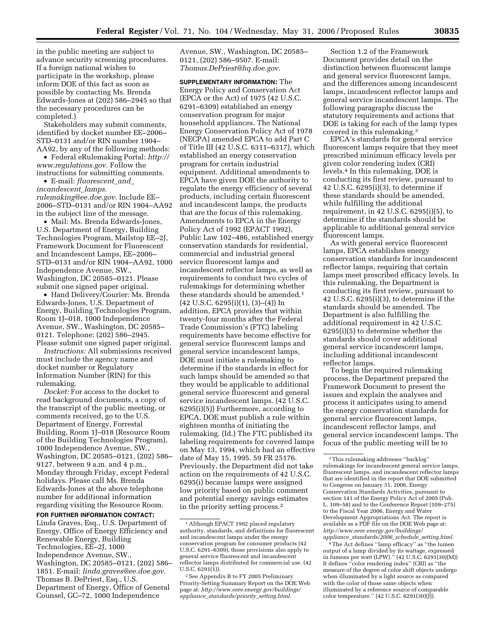in the public meeting are subject to advance security screening procedures. If a foreign national wishes to participate in the workshop, please inform DOE of this fact as soon as possible by contacting Ms. Brenda Edwards-Jones at (202) 586–2945 so that the necessary procedures can be

completed.) Stakeholders may submit comments, identified by docket number EE–2006– STD–0131 and/or RIN number 1904– AA92, by any of the following methods:

• Federal eRulemaking Portal: *http:// www.regulations.gov.* Follow the instructions for submitting comments.

• E-mail: *fluorescent*\_*and*\_ *incandescent*\_*lamps. rulemaking@ee.doe.gov.* Include EE– 2006–STD–0131 and/or RIN 1904–AA92 in the subject line of the message.

• Mail: Ms. Brenda Edwards-Jones, U.S. Department of Energy, Building Technologies Program, Mailstop EE–2J, Framework Document for Fluorescent and Incandescent Lamps, EE–2006– STD–0131 and/or RIN 1904–AA92, 1000 Independence Avenue, SW., Washington, DC 20585–0121. Please submit one signed paper original.

• Hand Delivery/Courier: Ms. Brenda Edwards-Jones, U.S. Department of Energy, Building Technologies Program, Room 1J–018, 1000 Independence Avenue, SW., Washington, DC 20585– 0121. Telephone: (202) 586–2945. Please submit one signed paper original.

*Instructions:* All submissions received must include the agency name and docket number or Regulatory Information Number (RIN) for this rulemaking.

*Docket:* For access to the docket to read background documents, a copy of the transcript of the public meeting, or comments received, go to the U.S. Department of Energy, Forrestal Building, Room 1J–018 (Resource Room of the Building Technologies Program), 1000 Independence Avenue, SW., Washington, DC 20585–0121, (202) 586– 9127, between 9 a.m. and 4 p.m., Monday through Friday, except Federal holidays. Please call Ms. Brenda Edwards-Jones at the above telephone number for additional information regarding visiting the Resource Room.

**FOR FURTHER INFORMATION CONTACT:** 

Linda Graves, Esq., U.S. Department of Energy, Office of Energy Efficiency and Renewable Energy, Building Technologies, EE–2J, 1000 Independence Avenue, SW., Washington, DC 20585–0121, (202) 586– 1851. E-mail: *linda.graves@ee.doe.gov.*  Thomas B. DePriest, Esq., U.S. Department of Energy, Office of General Counsel, GC–72, 1000 Independence

Avenue, SW., Washington, DC 20585– 0121, (202) 586–9507. E-mail: *Thomas.DePriest@hq.doe.gov.* 

**SUPPLEMENTARY INFORMATION:** The Energy Policy and Conservation Act (EPCA or the Act) of 1975 (42 U.S.C. 6291–6309) established an energy conservation program for major household appliances. The National Energy Conservation Policy Act of 1978 (NECPA) amended EPCA to add Part C of Title III (42 U.S.C. 6311–6317), which established an energy conservation program for certain industrial equipment. Additional amendments to EPCA have given DOE the authority to regulate the energy efficiency of several products, including certain fluorescent and incandescent lamps, the products that are the focus of this rulemaking. Amendments to EPCA in the Energy Policy Act of 1992 (EPACT 1992), Public Law 102–486, established energy conservation standards for residential, commercial and industrial general service fluorescent lamps and incandescent reflector lamps, as well as requirements to conduct two cycles of rulemakings for determining whether these standards should be amended.<sup>1</sup>  $(42 \text{ U.S.C. } 6295 \text{ (i)} \text{ (1)}, (3) - \text{ (4)}) \text{ In}$ addition, EPCA provides that within twenty-four months after the Federal Trade Commission's (FTC) labeling requirements have become effective for general service fluorescent lamps and general service incandescent lamps, DOE must initiate a rulemaking to determine if the standards in effect for such lamps should be amended so that they would be applicable to additional general service fluorescent and general service incandescent lamps. (42 U.S.C. 6295(i)(5)) Furthermore, according to EPCA, DOE must publish a rule within eighteen months of initiating the rulemaking. (Id.) The FTC published its labeling requirements for covered lamps on May 13, 1994, which had an effective date of May 15, 1995. 59 FR 25176. Previously, the Department did not take action on the requirements of 42 U.S.C. 6295(i) because lamps were assigned low priority based on public comment and potential energy savings estimates in the priority setting process.2

Section 1.2 of the Framework Document provides detail on the distinction between fluorescent lamps and general service fluorescent lamps, and the differences among incandescent lamps, incandescent reflector lamps and general service incandescent lamps. The following paragraphs discuss the statutory requirements and actions that DOE is taking for each of the lamp types covered in this rulemaking.3

EPCA's standards for general service fluorescent lamps require that they meet prescribed minimum efficacy levels per given color rendering index (CRI) levels.4 In this rulemaking, DOE is conducting its first review, pursuant to 42 U.S.C. 6295(i)(3), to determine if these standards should be amended, while fulfilling the additional requirement, in 42 U.S.C. 6295(i)(5), to determine if the standards should be applicable to additional general service fluorescent lamps.

As with general service fluorescent lamps, EPCA establishes energy conservation standards for incandescent reflector lamps, requiring that certain lamps meet prescribed efficacy levels. In this rulemaking, the Department is conducting its first review, pursuant to 42 U.S.C. 6295(i)(3), to determine if the standards should be amended. The Department is also fulfilling the additional requirement in 42 U.S.C. 6295(i)(5) to determine whether the standards should cover additional general service incandescent lamps, including additional incandescent reflector lamps.

To begin the required rulemaking process, the Department prepared the Framework Document to present the issues and explain the analyses and process it anticipates using to amend the energy conservation standards for general service fluorescent lamps, incandescent reflector lamps, and general service incandescent lamps. The focus of the public meeting will be to

4The Act defines ''lamp efficacy'' as ''the lumen output of a lamp divided by its wattage, expressed in lumens per watt (LPW).'' (42 U.S.C. 6291(30)(M)) It defines ''color rendering index'' (CRI) as ''the measure of the degree of color shift objects undergo when illuminated by a light source as compared with the color of those same objects when illuminated by a reference source of comparable color temperature." (42 U.S.C. 6291(30)(J)).

<sup>1</sup>Although EPACT 1992 placed regulatory authority, standards, and definitions for fluorescent and incandescent lamps under the energy conservation program for consumer products (42 U.S.C. 6291–6309), those provisions also apply to general service fluorescent and incandescent reflector lamps distributed for commercial use. (42 U.S.C. 6291(1)).

<sup>2</sup>See Appendix B to FY 2005 Preliminary Priority-Setting Summary Report on the DOE Web page at: *http://www.eere.energy.gov/buildings/ appliance*\_*standards/priority*\_*setting.html.* 

<sup>3</sup>This rulemaking addresses ''backlog'' rulemakings for incandescent general service lamps, fluorescent lamps, and incandescent reflector lamps that are identified in the report that DOE submitted to Congress on January 31, 2006, Energy Conservation Standards Activities, pursuant to section 141 of the Energy Policy Act of 2005 (Pub. L. 109–58) and to the Conference Report (109–275) to the Fiscal Year 2006, Energy and Water Development Appropriations Act. The report is available as a PDF file on the DOE Web page at: *http://www.eere.energy.gov/buildings/ appliance*\_*standards/2006*\_*schedule*\_*setting.html.*